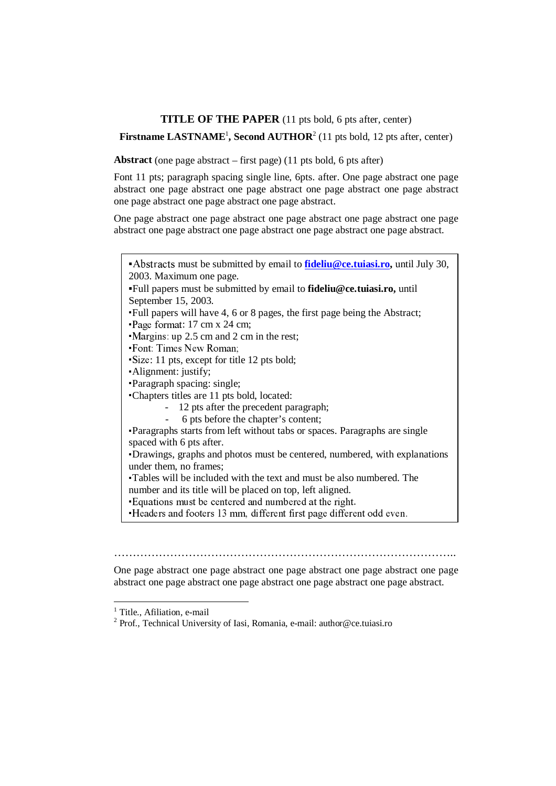# **TITLE OF THE PAPER** (11 pts bold, 6 pts after, center)

Firstname LASTNAME<sup>1</sup>, Second AUTHOR<sup>2</sup> (11 pts bold, 12 pts after, center)

**Abstract** (one page abstract – first page) (11 pts bold, 6 pts after)

Font 11 pts; paragraph spacing single line, 6pts. after. One page abstract one page abstract one page abstract one page abstract one page abstract one page abstract one page abstract one page abstract one page abstract.

One page abstract one page abstract one page abstract one page abstract one page abstract one page abstract one page abstract one page abstract.

| • Abstracts must be submitted by email to <b>fideliu@ce.tuiasi.ro</b> , until July 30, |  |
|----------------------------------------------------------------------------------------|--|
| 2003. Maximum one page.                                                                |  |
| Full papers must be submitted by email to fideliu@ce.tuiasi.ro, until                  |  |
| September 15, 2003.                                                                    |  |
| Full papers will have 4, 6 or 8 pages, the first page being the Abstract;              |  |
| Page format: 17 cm x 24 cm;                                                            |  |
| • Margins: up 2.5 cm and 2 cm in the rest;                                             |  |
| • Font: Times New Roman;                                                               |  |
| Size: 11 pts, except for title 12 pts bold;                                            |  |
| Alignment: justify;                                                                    |  |
| Paragraph spacing: single;                                                             |  |
| Chapters titles are 11 pts bold, located:                                              |  |
| 12 pts after the precedent paragraph;                                                  |  |
| 6 pts before the chapter's content;                                                    |  |
| Paragraphs starts from left without tabs or spaces. Paragraphs are single              |  |
| spaced with 6 pts after.                                                               |  |
| Drawings, graphs and photos must be centered, numbered, with explanations              |  |
| under them, no frames;                                                                 |  |
| Tables will be included with the text and must be also numbered. The                   |  |
| number and its title will be placed on top, left aligned.                              |  |
| Equations must be centered and numbered at the right.                                  |  |
| Headers and footers 13 mm, different first page different odd even.                    |  |
|                                                                                        |  |
|                                                                                        |  |
|                                                                                        |  |
| <b>The Community Community</b>                                                         |  |

One page abstract one page abstract one page abstract one page abstract one page abstract one page abstract one page abstract one page abstract one page abstract.

 $\overline{a}$ 

<sup>&</sup>lt;sup>1</sup> Title., Afiliation, e-mail

<sup>&</sup>lt;sup>2</sup> Prof., Technical University of Iasi, Romania, e-mail: author@ce.tuiasi.ro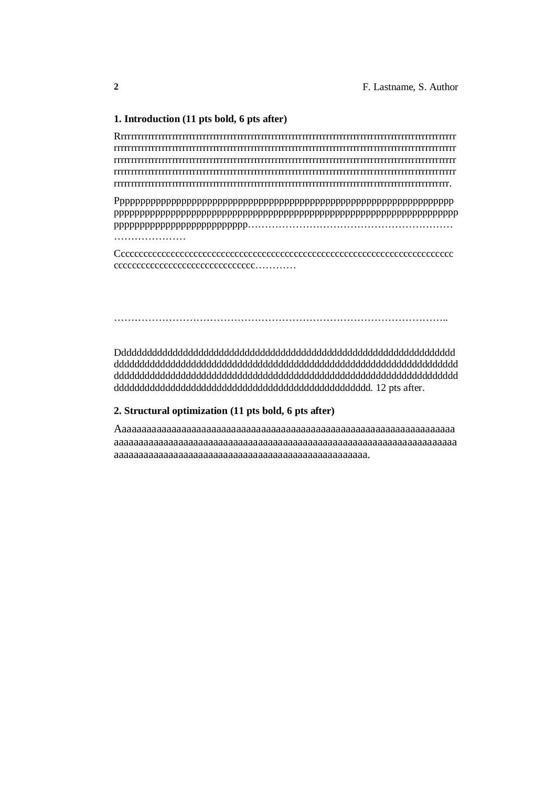### **1. Introduction (11 pts bold, 6 pts after)**

Rrrrrrrrrrrrrrrrrrrrrrrrrrrrrrrrrrrrrrrrrrrrrrrrrrrrrrrrrrrrrrrrrrrrrrrrrrrrrrrrrrrrrrrrrrrrrrrrrrr rrrrrrrrrrrrrrrrrrrrrrrrrrrrrrrrrrrrrrrrrrrrrrrrrrrrrrrrrrrrrrrrrrrrrrrrrrrrrrrrrrrrrrrrrrrrrrrrrrrr rrrrrrrrrrrrrrrrrrrrrrrrrrrrrrrrrrrrrrrrrrrrrrrrrrrrrrrrrrrrrrrrrrrrrrrrrrrrrrrrrrrrrrrrrrrrrrrrrrrr rrrrrrrrrrrrrrrrrrrrrrrrrrrrrrrrrrrrrrrrrrrrrrrrrrrrrrrrrrrrrrrrrrrrrrrrrrrrrrrrrrrrrrrrrrrrrrrrrrrr rrrrrrrrrrrrrrrrrrrrrrrrrrrrrrrrrrrrrrrrrrrrrrrrrrrrrrrrrrrrrrrrrrrrrrrrrrrrrrrrrrrrrrrrrrrrrrrrrr.

Pppppppppppppppppppppppppppppppppppppppppppppppppppppppppppppppppp ppppppppppppppppppppppppppppppppppppppppppppppppppppppppppppppppppp pppppppppppppppppppppppppp…………………………………………………… …………………

Cccccccccccccccccccccccccccccccccccccccccccccccccccccccccccccccccccccccccc ccccccccccccccccccccccccccccccc…………

#### ……………………………………………………………………………………..

Dddddddddddddddddddddddddddddddddddddddddddddddddddddddddddddddddd ddddddddddddddddddddddddddddddddddddddddddddddddddddddddddddddddddd ddddddddddddddddddddddddddddddddddddddddddddddddddddddddddddddddddd dddddddddddddddddddddddddddddddddddddddddddddddddd. 12 pts after.

### **2. Structural optimization (11 pts bold, 6 pts after)**

Aaaaaaaaaaaaaaaaaaaaaaaaaaaaaaaaaaaaaaaaaaaaaaaaaaaaaaaaaaaaaaaaaaaa aaaaaaaaaaaaaaaaaaaaaaaaaaaaaaaaaaaaaaaaaaaaaaaaaaaaaaaaaaaaaaaaaaaaa aaaaaaaaaaaaaaaaaaaaaaaaaaaaaaaaaaaaaaaaaaaaaaaaaaa.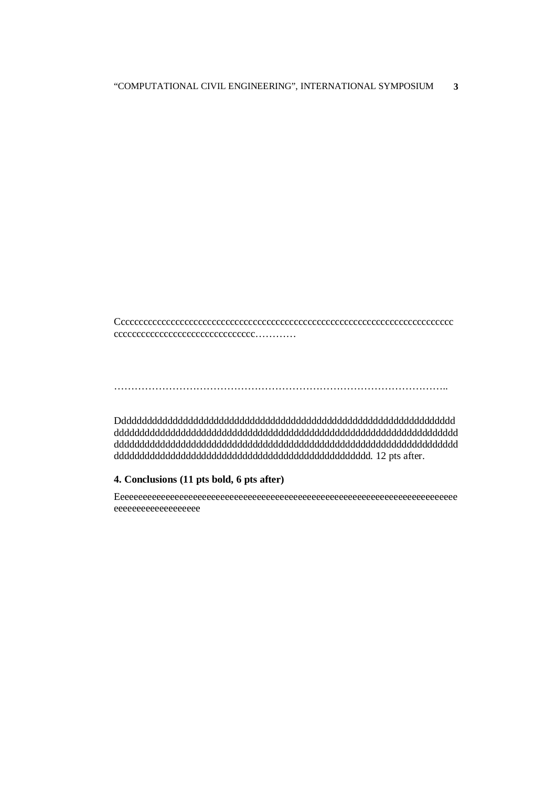Cccccccccccccccccccccccccccccccccccccccccccccccccccccccccccccccccccccccccc ccccccccccccccccccccccccccccccc…………

……………………………………………………………………………………..

Dddddddddddddddddddddddddddddddddddddddddddddddddddddddddddddddddd ddddddddddddddddddddddddddddddddddddddddddddddddddddddddddddddddddd ddddddddddddddddddddddddddddddddddddddddddddddddddddddddddddddddddd dddddddddddddddddddddddddddddddddddddddddddddddddd. 12 pts after.

## **4. Conclusions (11 pts bold, 6 pts after)**

Eeeeeeeeeeeeeeeeeeeeeeeeeeeeeeeeeeeeeeeeeeeeeeeeeeeeeeeeeeeeeeeeeeeeeeeeeee eeeeeeeeeeeeeeeeeee